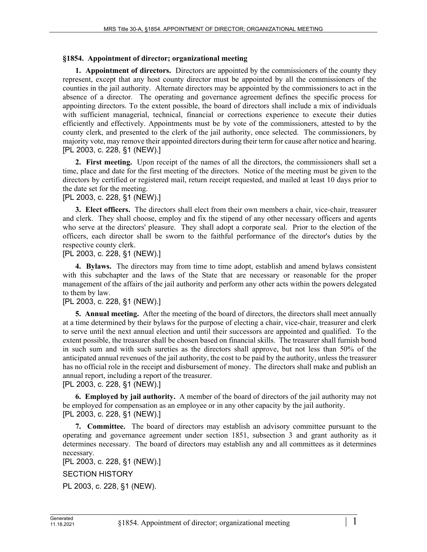### **§1854. Appointment of director; organizational meeting**

**1. Appointment of directors.** Directors are appointed by the commissioners of the county they represent, except that any host county director must be appointed by all the commissioners of the counties in the jail authority. Alternate directors may be appointed by the commissioners to act in the absence of a director. The operating and governance agreement defines the specific process for appointing directors. To the extent possible, the board of directors shall include a mix of individuals with sufficient managerial, technical, financial or corrections experience to execute their duties efficiently and effectively. Appointments must be by vote of the commissioners, attested to by the county clerk, and presented to the clerk of the jail authority, once selected. The commissioners, by majority vote, may remove their appointed directors during their term for cause after notice and hearing. [PL 2003, c. 228, §1 (NEW).]

**2. First meeting.** Upon receipt of the names of all the directors, the commissioners shall set a time, place and date for the first meeting of the directors. Notice of the meeting must be given to the directors by certified or registered mail, return receipt requested, and mailed at least 10 days prior to the date set for the meeting.

# [PL 2003, c. 228, §1 (NEW).]

**3. Elect officers.** The directors shall elect from their own members a chair, vice-chair, treasurer and clerk. They shall choose, employ and fix the stipend of any other necessary officers and agents who serve at the directors' pleasure. They shall adopt a corporate seal. Prior to the election of the officers, each director shall be sworn to the faithful performance of the director's duties by the respective county clerk.

# [PL 2003, c. 228, §1 (NEW).]

**4. Bylaws.** The directors may from time to time adopt, establish and amend bylaws consistent with this subchapter and the laws of the State that are necessary or reasonable for the proper management of the affairs of the jail authority and perform any other acts within the powers delegated to them by law.

## [PL 2003, c. 228, §1 (NEW).]

**5. Annual meeting.** After the meeting of the board of directors, the directors shall meet annually at a time determined by their bylaws for the purpose of electing a chair, vice-chair, treasurer and clerk to serve until the next annual election and until their successors are appointed and qualified. To the extent possible, the treasurer shall be chosen based on financial skills. The treasurer shall furnish bond in such sum and with such sureties as the directors shall approve, but not less than 50% of the anticipated annual revenues of the jail authority, the cost to be paid by the authority, unless the treasurer has no official role in the receipt and disbursement of money. The directors shall make and publish an annual report, including a report of the treasurer.

### [PL 2003, c. 228, §1 (NEW).]

**6. Employed by jail authority.** A member of the board of directors of the jail authority may not be employed for compensation as an employee or in any other capacity by the jail authority. [PL 2003, c. 228, §1 (NEW).]

**7. Committee.** The board of directors may establish an advisory committee pursuant to the operating and governance agreement under section 1851, subsection 3 and grant authority as it determines necessary. The board of directors may establish any and all committees as it determines necessary.

[PL 2003, c. 228, §1 (NEW).]

SECTION HISTORY

PL 2003, c. 228, §1 (NEW).